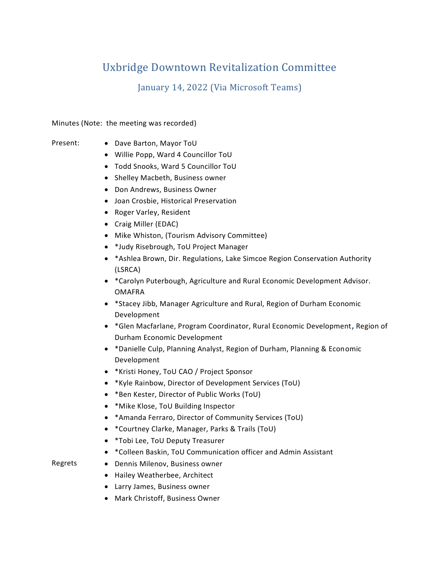# Uxbridge Downtown Revitalization Committee

January 14, 2022 (Via Microsoft Teams)

Minutes (Note: the meeting was recorded)

- 
- Present: Dave Barton, Mayor ToU
	- Willie Popp, Ward 4 Councillor ToU
	- Todd Snooks, Ward 5 Councillor ToU
	- Shelley Macbeth, Business owner
	- Don Andrews, Business Owner
	- Joan Crosbie, Historical Preservation
	- Roger Varley, Resident
	- Craig Miller (EDAC)
	- Mike Whiston, (Tourism Advisory Committee)
	- \*Judy Risebrough, ToU Project Manager
	- \*Ashlea Brown, Dir. Regulations, Lake Simcoe Region Conservation Authority (LSRCA)
	- \*Carolyn Puterbough, Agriculture and Rural Economic Development Advisor. OMAFRA
	- \*Stacey Jibb, Manager Agriculture and Rural, Region of Durham Economic Development
	- \*Glen Macfarlane, Program Coordinator, Rural Economic Development**,** Region of Durham Economic Development
	- \*Danielle Culp, Planning Analyst, Region of Durham, Planning & Economic Development
	- \*Kristi Honey, ToU CAO / Project Sponsor
	- \*Kyle Rainbow, Director of Development Services (ToU)
	- \*Ben Kester, Director of Public Works (ToU)
	- \*Mike Klose, ToU Building Inspector
	- \*Amanda Ferraro, Director of Community Services (ToU)
	- \*Courtney Clarke, Manager, Parks & Trails (ToU)
	- \*Tobi Lee, ToU Deputy Treasurer
	- \*Colleen Baskin, ToU Communication officer and Admin Assistant

- Regrets Dennis Milenov, Business owner
	- Hailey Weatherbee, Architect
	- Larry James, Business owner
	- Mark Christoff, Business Owner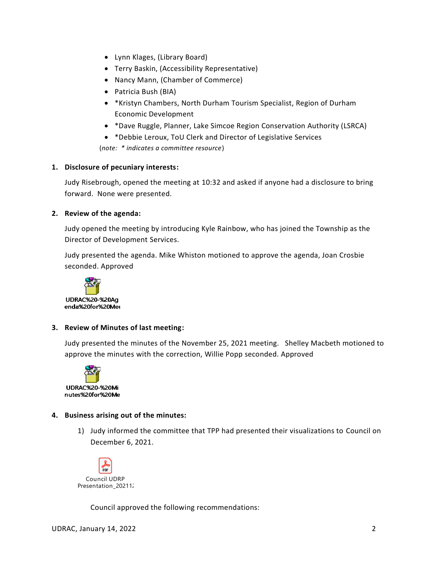- Lynn Klages, (Library Board)
- Terry Baskin, (Accessibility Representative)
- Nancy Mann, (Chamber of Commerce)
- Patricia Bush (BIA)
- \*Kristyn Chambers, North Durham Tourism Specialist, Region of Durham Economic Development
- \*Dave Ruggle, Planner, Lake Simcoe Region Conservation Authority (LSRCA)
- \*Debbie Leroux, ToU Clerk and Director of Legislative Services

(*note: \* indicates a committee resource*)

#### **1. Disclosure of pecuniary interests:**

Judy Risebrough, opened the meeting at 10:32 and asked if anyone had a disclosure to bring forward. None were presented.

#### **2. Review of the agenda:**

Judy opened the meeting by introducing Kyle Rainbow, who has joined the Township as the Director of Development Services.

Judy presented the agenda. Mike Whiston motioned to approve the agenda, Joan Crosbie seconded. Approved



UDRAC%20-%20Aq enda%20for%20Mee

**3. Review of Minutes of last meeting:**

Judy presented the minutes of the November 25, 2021 meeting. Shelley Macbeth motioned to approve the minutes with the correction, Willie Popp seconded. Approved



### **4. Business arising out of the minutes:**

1) Judy informed the committee that TPP had presented their visualizations to Council on December 6, 2021.



Council approved the following recommendations: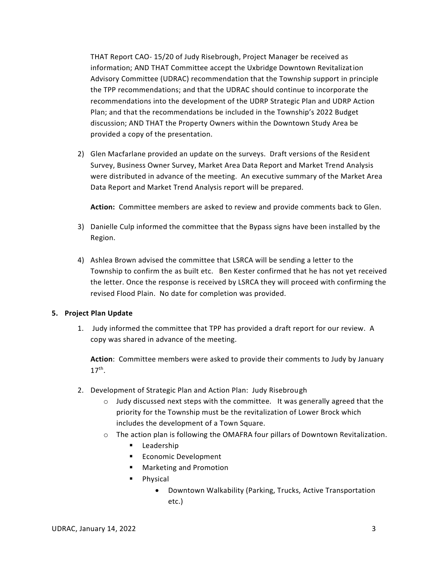THAT Report CAO- 15/20 of Judy Risebrough, Project Manager be received as information; AND THAT Committee accept the Uxbridge Downtown Revitalization Advisory Committee (UDRAC) recommendation that the Township support in principle the TPP recommendations; and that the UDRAC should continue to incorporate the recommendations into the development of the UDRP Strategic Plan and UDRP Action Plan; and that the recommendations be included in the Township's 2022 Budget discussion; AND THAT the Property Owners within the Downtown Study Area be provided a copy of the presentation.

2) Glen Macfarlane provided an update on the surveys. Draft versions of the Resident Survey, Business Owner Survey, Market Area Data Report and Market Trend Analysis were distributed in advance of the meeting. An executive summary of the Market Area Data Report and Market Trend Analysis report will be prepared.

**Action:** Committee members are asked to review and provide comments back to Glen.

- 3) Danielle Culp informed the committee that the Bypass signs have been installed by the Region.
- 4) Ashlea Brown advised the committee that LSRCA will be sending a letter to the Township to confirm the as built etc. Ben Kester confirmed that he has not yet received the letter. Once the response is received by LSRCA they will proceed with confirming the revised Flood Plain. No date for completion was provided.

### **5. Project Plan Update**

1. Judy informed the committee that TPP has provided a draft report for our review. A copy was shared in advance of the meeting.

**Action**: Committee members were asked to provide their comments to Judy by January  $17<sup>th</sup>$ .

- 2. Development of Strategic Plan and Action Plan: Judy Risebrough
	- $\circ$  Judy discussed next steps with the committee. It was generally agreed that the priority for the Township must be the revitalization of Lower Brock which includes the development of a Town Square.
	- o The action plan is following the OMAFRA four pillars of Downtown Revitalization.
		- Leadership
		- Economic Development
		- Marketing and Promotion
		- Physical
			- Downtown Walkability (Parking, Trucks, Active Transportation etc.)